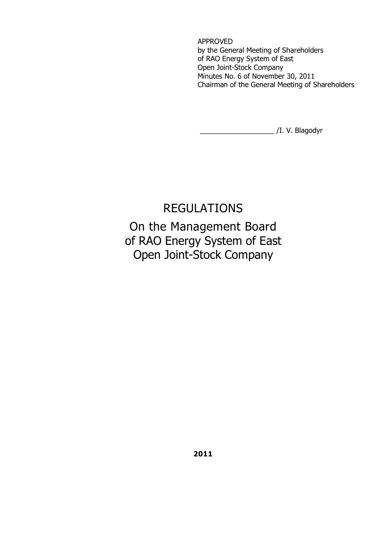APPROVED by the General Meeting of Shareholders of RAO Energy System of East Open Joint-Stock Company Minutes No. 6 of November 30, 2011 Chairman of the General Meeting of Shareholders

\_\_\_\_\_\_\_\_\_\_\_\_\_\_\_\_\_\_\_ /I. V. Blagodyr

# REGULATIONS On the Management Board of RAO Energy System of East Open Joint-Stock Company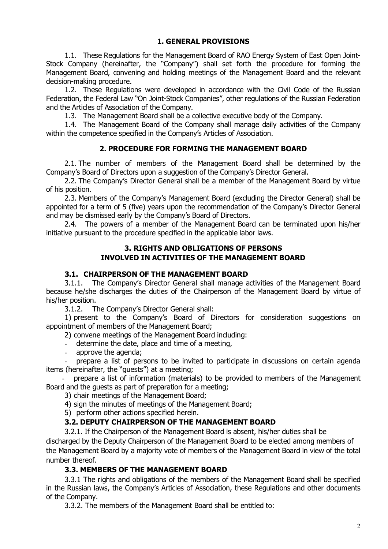# **1. GENERAL PROVISIONS**

1.1. These Regulations for the Management Board of RAO Energy System of East Open Joint-Stock Company (hereinafter, the "Company") shall set forth the procedure for forming the Management Board, convening and holding meetings of the Management Board and the relevant decision-making procedure.

1.2. These Regulations were developed in accordance with the Civil Code of the Russian Federation, the Federal Law "On Joint-Stock Companies", other regulations of the Russian Federation and the Articles of Association of the Company.

1.3. The Management Board shall be a collective executive body of the Company.

1.4. The Management Board of the Company shall manage daily activities of the Company within the competence specified in the Company's Articles of Association.

# **2. PROCEDURE FOR FORMING THE MANAGEMENT BOARD**

2.1. The number of members of the Management Board shall be determined by the Company's Board of Directors upon a suggestion of the Company's Director General.

2.2. The Company's Director General shall be a member of the Management Board by virtue of his position.

2.3. Members of the Company's Management Board (excluding the Director General) shall be appointed for a term of 5 (five) years upon the recommendation of the Company's Director General and may be dismissed early by the Company's Board of Directors.

2.4. The powers of a member of the Management Board can be terminated upon his/her initiative pursuant to the procedure specified in the applicable labor laws.

# **3. RIGHTS AND OBLIGATIONS OF PERSONS INVOLVED IN ACTIVITIES OF THE MANAGEMENT BOARD**

### **3.1. CHAIRPERSON OF THE MANAGEMENT BOARD**

3.1.1. The Company's Director General shall manage activities of the Management Board because he/she discharges the duties of the Chairperson of the Management Board by virtue of his/her position.

3.1.2. The Company's Director General shall:

1) present to the Company's Board of Directors for consideration suggestions on appointment of members of the Management Board;

2) convene meetings of the Management Board including:

- determine the date, place and time of a meeting,
- approve the agenda;

prepare a list of persons to be invited to participate in discussions on certain agenda items (hereinafter, the "guests") at a meeting;

- prepare a list of information (materials) to be provided to members of the Management Board and the guests as part of preparation for a meeting;

3) chair meetings of the Management Board;

4) sign the minutes of meetings of the Management Board;

5) perform other actions specified herein.

#### **3.2. DEPUTY CHAIRPERSON OF THE MANAGEMENT BOARD**

3.2.1. If the Chairperson of the Management Board is absent, his/her duties shall be discharged by the Deputy Chairperson of the Management Board to be elected among members of the Management Board by a majority vote of members of the Management Board in view of the total number thereof.

# **3.3. MEMBERS OF THE MANAGEMENT BOARD**

3.3.1 The rights and obligations of the members of the Management Board shall be specified in the Russian laws, the Company's Articles of Association, these Regulations and other documents of the Company.

3.3.2. The members of the Management Board shall be entitled to: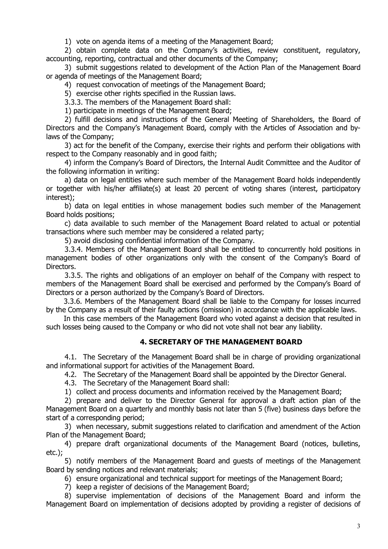1) vote on agenda items of a meeting of the Management Board;

2) obtain complete data on the Company's activities, review constituent, regulatory, accounting, reporting, contractual and other documents of the Company;

3) submit suggestions related to development of the Action Plan of the Management Board or agenda of meetings of the Management Board;

4) request convocation of meetings of the Management Board;

5) exercise other rights specified in the Russian laws.

3.3.3. The members of the Management Board shall:

1) participate in meetings of the Management Board;

2) fulfill decisions and instructions of the General Meeting of Shareholders, the Board of Directors and the Company's Management Board, comply with the Articles of Association and bylaws of the Company;

3) act for the benefit of the Company, exercise their rights and perform their obligations with respect to the Company reasonably and in good faith;

4) inform the Company's Board of Directors, the Internal Audit Committee and the Auditor of the following information in writing:

a) data on legal entities where such member of the Management Board holds independently or together with his/her affiliate(s) at least 20 percent of voting shares (interest, participatory interest);

b) data on legal entities in whose management bodies such member of the Management Board holds positions;

c) data available to such member of the Management Board related to actual or potential transactions where such member may be considered a related party;

5) avoid disclosing confidential information of the Company.

3.3.4. Members of the Management Board shall be entitled to concurrently hold positions in management bodies of other organizations only with the consent of the Company's Board of Directors.

3.3.5. The rights and obligations of an employer on behalf of the Company with respect to members of the Management Board shall be exercised and performed by the Company's Board of Directors or a person authorized by the Company's Board of Directors.

3.3.6. Members of the Management Board shall be liable to the Company for losses incurred by the Company as a result of their faulty actions (omission) in accordance with the applicable laws.

In this case members of the Management Board who voted against a decision that resulted in such losses being caused to the Company or who did not vote shall not bear any liability.

#### **4. SECRETARY OF THE MANAGEMENT BOARD**

4.1. The Secretary of the Management Board shall be in charge of providing organizational and informational support for activities of the Management Board.

4.2. The Secretary of the Management Board shall be appointed by the Director General.

4.3. The Secretary of the Management Board shall:

1) collect and process documents and information received by the Management Board;

2) prepare and deliver to the Director General for approval a draft action plan of the Management Board on a quarterly and monthly basis not later than 5 (five) business days before the start of a corresponding period;

3) when necessary, submit suggestions related to clarification and amendment of the Action Plan of the Management Board;

4) prepare draft organizational documents of the Management Board (notices, bulletins, etc.);

5) notify members of the Management Board and guests of meetings of the Management Board by sending notices and relevant materials;

6) ensure organizational and technical support for meetings of the Management Board;

7) keep a register of decisions of the Management Board;

8) supervise implementation of decisions of the Management Board and inform the Management Board on implementation of decisions adopted by providing a register of decisions of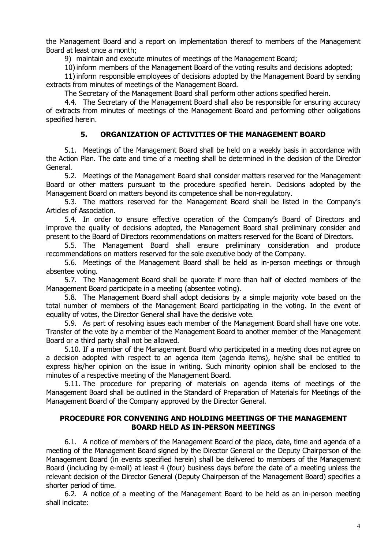the Management Board and a report on implementation thereof to members of the Management Board at least once a month;

9) maintain and execute minutes of meetings of the Management Board;

10)inform members of the Management Board of the voting results and decisions adopted;

11)inform responsible employees of decisions adopted by the Management Board by sending extracts from minutes of meetings of the Management Board.

The Secretary of the Management Board shall perform other actions specified herein.

4.4. The Secretary of the Management Board shall also be responsible for ensuring accuracy of extracts from minutes of meetings of the Management Board and performing other obligations specified herein.

#### **5. ORGANIZATION OF ACTIVITIES OF THE MANAGEMENT BOARD**

5.1. Meetings of the Management Board shall be held on a weekly basis in accordance with the Action Plan. The date and time of a meeting shall be determined in the decision of the Director General.

5.2. Meetings of the Management Board shall consider matters reserved for the Management Board or other matters pursuant to the procedure specified herein. Decisions adopted by the Management Board on matters beyond its competence shall be non-regulatory.

5.3. The matters reserved for the Management Board shall be listed in the Company's Articles of Association.

5.4. In order to ensure effective operation of the Company's Board of Directors and improve the quality of decisions adopted, the Management Board shall preliminary consider and present to the Board of Directors recommendations on matters reserved for the Board of Directors.

5.5. The Management Board shall ensure preliminary consideration and produce recommendations on matters reserved for the sole executive body of the Company.

5.6. Meetings of the Management Board shall be held as in-person meetings or through absentee voting.

5.7. The Management Board shall be quorate if more than half of elected members of the Management Board participate in a meeting (absentee voting).

5.8. The Management Board shall adopt decisions by a simple majority vote based on the total number of members of the Management Board participating in the voting. In the event of equality of votes, the Director General shall have the decisive vote.

5.9. As part of resolving issues each member of the Management Board shall have one vote. Transfer of the vote by a member of the Management Board to another member of the Management Board or a third party shall not be allowed.

5.10. If a member of the Management Board who participated in a meeting does not agree on a decision adopted with respect to an agenda item (agenda items), he/she shall be entitled to express his/her opinion on the issue in writing. Such minority opinion shall be enclosed to the minutes of a respective meeting of the Management Board.

5.11. The procedure for preparing of materials on agenda items of meetings of the Management Board shall be outlined in the Standard of Preparation of Materials for Meetings of the Management Board of the Company approved by the Director General.

#### **PROCEDURE FOR CONVENING AND HOLDING MEETINGS OF THE MANAGEMENT BOARD HELD AS IN-PERSON MEETINGS**

6.1. A notice of members of the Management Board of the place, date, time and agenda of a meeting of the Management Board signed by the Director General or the Deputy Chairperson of the Management Board (in events specified herein) shall be delivered to members of the Management Board (including by e-mail) at least 4 (four) business days before the date of a meeting unless the relevant decision of the Director General (Deputy Chairperson of the Management Board) specifies a shorter period of time.

6.2. A notice of a meeting of the Management Board to be held as an in-person meeting shall indicate: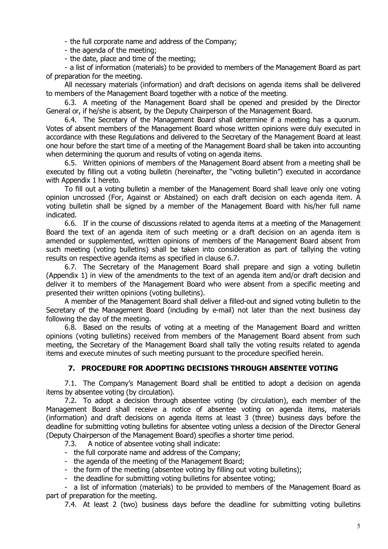- the full corporate name and address of the Company;

- the agenda of the meeting;

- the date, place and time of the meeting;

- a list of information (materials) to be provided to members of the Management Board as part of preparation for the meeting.

All necessary materials (information) and draft decisions on agenda items shall be delivered to members of the Management Board together with a notice of the meeting.

6.3. A meeting of the Management Board shall be opened and presided by the Director General or, if he/she is absent, by the Deputy Chairperson of the Management Board.

6.4. The Secretary of the Management Board shall determine if a meeting has a quorum. Votes of absent members of the Management Board whose written opinions were duly executed in accordance with these Regulations and delivered to the Secretary of the Management Board at least one hour before the start time of a meeting of the Management Board shall be taken into accounting when determining the quorum and results of voting on agenda items.

6.5. Written opinions of members of the Management Board absent from a meeting shall be executed by filling out a voting bulletin (hereinafter, the "voting bulletin") executed in accordance with Appendix 1 hereto.

To fill out a voting bulletin a member of the Management Board shall leave only one voting opinion uncrossed (For, Against or Abstained) on each draft decision on each agenda item. A voting bulletin shall be signed by a member of the Management Board with his/her full name indicated.

6.6. If in the course of discussions related to agenda items at a meeting of the Management Board the text of an agenda item of such meeting or a draft decision on an agenda item is amended or supplemented, written opinions of members of the Management Board absent from such meeting (voting bulletins) shall be taken into consideration as part of tallying the voting results on respective agenda items as specified in clause 6.7.

6.7. The Secretary of the Management Board shall prepare and sign a voting bulletin (Appendix 1) in view of the amendments to the text of an agenda item and/or draft decision and deliver it to members of the Management Board who were absent from a specific meeting and presented their written opinions (voting bulletins).

A member of the Management Board shall deliver a filled-out and signed voting bulletin to the Secretary of the Management Board (including by e-mail) not later than the next business day following the day of the meeting.

6.8. Based on the results of voting at a meeting of the Management Board and written opinions (voting bulletins) received from members of the Management Board absent from such meeting, the Secretary of the Management Board shall tally the voting results related to agenda items and execute minutes of such meeting pursuant to the procedure specified herein.

# **7. PROCEDURE FOR ADOPTING DECISIONS THROUGH ABSENTEE VOTING**

7.1. The Company's Management Board shall be entitled to adopt a decision on agenda items by absentee voting (by circulation).

7.2. To adopt a decision through absentee voting (by circulation), each member of the Management Board shall receive a notice of absentee voting on agenda items, materials (information) and draft decisions on agenda items at least 3 (three) business days before the deadline for submitting voting bulletins for absentee voting unless a decision of the Director General (Deputy Chairperson of the Management Board) specifies a shorter time period.

7.3. A notice of absentee voting shall indicate:

- the full corporate name and address of the Company;
- the agenda of the meeting of the Management Board;
- the form of the meeting (absentee voting by filling out voting bulletins);
- the deadline for submitting voting bulletins for absentee voting;

- a list of information (materials) to be provided to members of the Management Board as part of preparation for the meeting.

7.4. At least 2 (two) business days before the deadline for submitting voting bulletins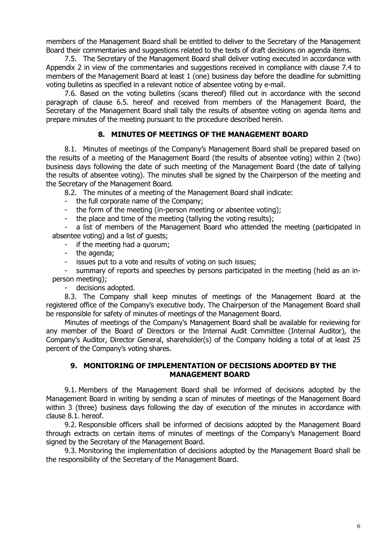members of the Management Board shall be entitled to deliver to the Secretary of the Management Board their commentaries and suggestions related to the texts of draft decisions on agenda items.

7.5. The Secretary of the Management Board shall deliver voting executed in accordance with Appendix 2 in view of the commentaries and suggestions received in compliance with clause 7.4 to members of the Management Board at least 1 (one) business day before the deadline for submitting voting bulletins as specified in a relevant notice of absentee voting by e-mail.

7.6. Based on the voting bulletins (scans thereof) filled out in accordance with the second paragraph of clause 6.5. hereof and received from members of the Management Board, the Secretary of the Management Board shall tally the results of absentee voting on agenda items and prepare minutes of the meeting pursuant to the procedure described herein.

#### **8. MINUTES OF MEETINGS OF THE MANAGEMENT BOARD**

8.1. Minutes of meetings of the Company's Management Board shall be prepared based on the results of a meeting of the Management Board (the results of absentee voting) within 2 (two) business days following the date of such meeting of the Management Board (the date of tallying the results of absentee voting). The minutes shall be signed by the Chairperson of the meeting and the Secretary of the Management Board.

8.2. The minutes of a meeting of the Management Board shall indicate:

- the full corporate name of the Company;
- the form of the meeting (in-person meeting or absentee voting);
- the place and time of the meeting (tallying the voting results);

- a list of members of the Management Board who attended the meeting (participated in absentee voting) and a list of guests;

- if the meeting had a quorum;

- the agenda;
- issues put to a vote and results of voting on such issues;

- summary of reports and speeches by persons participated in the meeting (held as an inperson meeting);

- decisions adopted.

8.3. The Company shall keep minutes of meetings of the Management Board at the registered office of the Company's executive body. The Chairperson of the Management Board shall be responsible for safety of minutes of meetings of the Management Board.

Minutes of meetings of the Company's Management Board shall be available for reviewing for any member of the Board of Directors or the Internal Audit Committee (Internal Auditor), the Company's Auditor, Director General, shareholder(s) of the Company holding a total of at least 25 percent of the Company's voting shares.

#### **9. MONITORING OF IMPLEMENTATION OF DECISIONS ADOPTED BY THE MANAGEMENT BOARD**

9.1. Members of the Management Board shall be informed of decisions adopted by the Management Board in writing by sending a scan of minutes of meetings of the Management Board within 3 (three) business days following the day of execution of the minutes in accordance with clause 8.1. hereof.

9.2. Responsible officers shall be informed of decisions adopted by the Management Board through extracts on certain items of minutes of meetings of the Company's Management Board signed by the Secretary of the Management Board.

9.3. Monitoring the implementation of decisions adopted by the Management Board shall be the responsibility of the Secretary of the Management Board.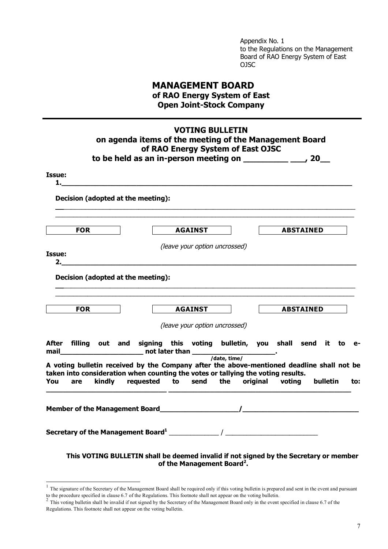Appendix No. 1 to the Regulations on the Management Board of RAO Energy System of East OJSC

# **MANAGEMENT BOARD of RAO Energy System of East Open Joint-Stock Company**

|              |            |        |                                    |                | on agenda items of the meeting of the Management Board<br>of RAO Energy System of East OJSC<br>to be held as an in-person meeting on $\frac{1}{2}$ $\frac{1}{20}$ 20          |                  |                  |                 |     |
|--------------|------------|--------|------------------------------------|----------------|-------------------------------------------------------------------------------------------------------------------------------------------------------------------------------|------------------|------------------|-----------------|-----|
| Issue:<br>1. |            |        |                                    |                |                                                                                                                                                                               |                  |                  |                 |     |
|              |            |        | Decision (adopted at the meeting): |                |                                                                                                                                                                               |                  |                  |                 |     |
|              | <b>FOR</b> |        |                                    | <b>AGAINST</b> |                                                                                                                                                                               |                  | <b>ABSTAINED</b> |                 |     |
| Issue:       |            |        | 2.                                 |                | (leave your option uncrossed)                                                                                                                                                 |                  |                  |                 |     |
|              | <b>FOR</b> |        | Decision (adopted at the meeting): | <b>AGAINST</b> |                                                                                                                                                                               | <b>ABSTAINED</b> |                  |                 |     |
|              |            |        |                                    |                | (leave your option uncrossed)                                                                                                                                                 |                  |                  |                 |     |
|              |            |        |                                    |                | After filling out and signing this voting bulletin, you shall send it to e-                                                                                                   |                  |                  |                 |     |
| You          | are        | kindly | requested to send the              |                | A voting bulletin received by the Company after the above-mentioned deadline shall not be<br>taken into consideration when counting the votes or tallying the voting results. | original voting  |                  | <b>bulletin</b> | to: |
|              |            |        |                                    |                |                                                                                                                                                                               |                  |                  |                 |     |
|              |            |        |                                    |                |                                                                                                                                                                               |                  |                  |                 |     |

**of the Management Board<sup>2</sup> .**

<sup>&</sup>lt;sup>1</sup> The signature of the Secretary of the Management Board shall be required only if this voting bulletin is prepared and sent in the event and pursuant

to the procedure specified in clause 6.7 of the Regulations. This footnote shall not appear on the voting bulletin.<br><sup>2</sup> This voting bulletin shall be invalid if not signed by the Secretary of the Management Board only in Regulations. This footnote shall not appear on the voting bulletin.